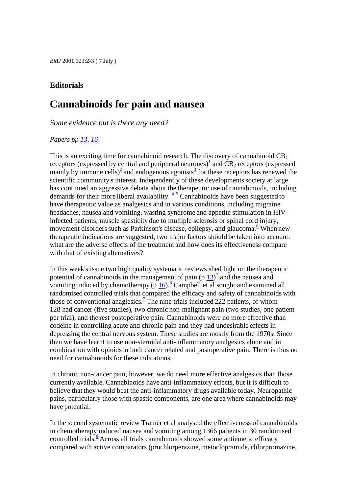### **Editorials**

## **Cannabinoids for pain and nausea**

*Some evidence but is there any need?*

#### *Papers pp [13,](/cgi/lookup?lookupType=volpage&vol=323&fp=13&view=short) [16](/cgi/lookup?lookupType=volpage&vol=323&fp=16&view=short)*

This is an exciting time for cannabinoid research. The discovery of cannabinoid  $CB<sub>1</sub>$ receptors (expressed by central and peripheral neurones[\)](#page-1-0) $\frac{1}{2}$  and CB<sub>2</sub> receptors (expressed mainly by immune cells[\)](#page-1-1)<[s](#page-1-2)up>2</sup> and endogenous agonists<sup>3</sup> for these receptors has renewed the scientific community's interest. Independently of these developments society at large has continued an aggressive debate about the therapeutic use of cannabinoids, including demands for their more liberal availability.  $\frac{45}{3}$  $\frac{45}{3}$  $\frac{45}{3}$  $\frac{45}{3}$  Cannabinoids have been suggested to have therapeutic value as analgesics and in various conditions, including migraine headaches, nausea and vomiting, wasting syndrome and appetite stimulation in HIVinfected patients, muscle spasticity due to multiple sclerosis or spinal cord injury, movement disorders such as Parkinson's disease, epilepsy, and glaucoma.<sup>[6](#page-2-1)</sup> When new therapeutic indications are suggested, two major factors should be taken into account: what are the adverse effects of the treatment and how does its effectiveness compare with that of existing alternatives?

In this week's issue two high quality systematic reviews shed light on the therapeutic potential of cannabinoids in the management of pain  $(p \ 13)^7$  $(p \ 13)^7$  $(p \ 13)^7$  and the nausea and vomiting induced by chemotherapy (p  $16$ ).<sup>[8](#page-2-3)</sup> Campbell et al sought and examined all randomised controlled trials that compared the efficacy and safety of cannabinoids with those of conventional anaglesics[.](#page-2-2)<sup> $7$ </sup> The nine trials included 222 patients, of whom 128 had cancer (five studies), two chronic non-malignant pain (two studies, one patient per trial), and the rest postoperative pain. Cannabinoids were no more effective than codeine in controlling acute and chronic pain and they had undesirable effects in depressing the central nervous system. These studies are mostly from the 1970s. Since then we have learnt to use non-steroidal anti-inflammatory analgesics alone and in combination with opioidsin both cancer related and postoperative pain. There is thus no need for cannabinoids for these indications.

In chronic non-cancer pain, however, we do need more effective analgesics than those currently available. Cannabinoids have anti-inflammatory effects, but it is difficult to believe that they would beat the anti-inflammatory drugs available today. Neuropathic pains, particularly those with spastic components, are one area where cannabinoids may have potential.

In the second systematic review Tramèr et al analysed the effectiveness of cannabinoids in chemotherapy induced nausea and vomiting among 1366 patients in 30 randomised controlled trials[.](#page-2-3) $\frac{8}{3}$  Across all trials cannabinoids showed some antiemetic efficacy compared with active comparators (prochlorperazine, metoclopramide, chlorpromazine,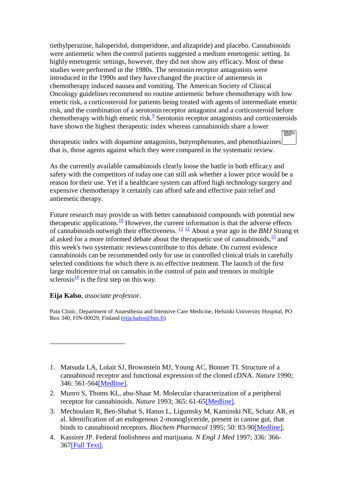tiethylperazine, haloperidol, domperidone, and alizapride) and placebo. Cannabinoids were antiemetic when the control patients suggested a medium emetogenic setting. In highly emetogenic settings, however, they did not show any efficacy. Most of these studies were performed in the 1980s. The serotonin receptor antagonists were introduced in the 1990s and they have changed the practice of antiemesis in chemotherapy induced nausea and vomiting. The American Society of Clinical Oncology guidelines recommend no routine antiemetic before chemotherapy with low emetic risk, a corticosteroid for patients being treated with agents of intermediate emetic risk, and the combination of a serotonin receptor antagonist and a corticosteroid before chemotherapy with high emetic risk[.](#page-2-4) $<sup>9</sup>$  Serotonin receptor antagonists and corticosteroids</sup> have shown the highest therapeutic index whereas cannabinoids share a lower

therapeutic index with dopamine antagonists, butyrophenones, and phenothiazines that is, those agents against which they were compared in the systematic review.

As the currently available cannabinoids clearly loose the battle in both efficacy and safety with the competitors of today one can still ask whether a lower price would be a reason for their use. Yet if a healthcare system can afford high technology surgery and expensive chemotherapy it certainly can afford safe and effective pain relief and antiemetic therapy.

Future research may provide us with better cannabinoid compounds with potential new therapeutic applications.<sup>[10](#page-2-5)</sup> However, the current information is that the adverse effects of cannabinoids outweigh their effectiveness. [11](#page-2-6) [12](#page-2-7) About a year ago in the *BMJ* Strang et al asked for a more informed debate about the therapuetic use of cannabinoids,  $\frac{13}{2}$  $\frac{13}{2}$  $\frac{13}{2}$  and this week's two systematic reviews contribute to this debate. On current evidence cannabinoids can be recommended only for use in controlled clinical trials in carefully selected conditions for which there is no effective treatment. The launch of the first large multicentre trial on cannabis in the control of pain and tremors in multiple sclerosis $\frac{14}{1}$  $\frac{14}{1}$  $\frac{14}{1}$  is the first step on this way.

#### **Eija Kalso**, *associate professor*.

Pain Clinic, Department of Anaesthesia and Intensive Care Medicine, Helsinki University Hospital, PO Box 340, FIN-00029, Finland [\(eija.kalso@hus.fi\)](mailto:eija.kalso@hus.fi)

- <span id="page-1-1"></span>2. Munro S, Thoms KL, abu-Shaar M. Molecular characterization of a peripheral receptor for cannabinoids. *Nature* 1993; 365: 61-6[5\[Medline\].](/cgi/external_ref?access_num=7689702&link_type=MED)
- <span id="page-1-2"></span>3. Mechoulam R, Ben-Shabat S, Hanus L, Ligumsky M, Kaminski NE, Schatz AR, et al. Identification of an endogenous 2-monoglyceride, present in canine gut, that binds to cannabinoid receptors. *Biochem Pharmacol* 1995; 50: 83-9[0\[Medline\].](/cgi/external_ref?access_num=7605349&link_type=MED)
- <span id="page-1-3"></span>4. Kassirer JP. Federal foolishness and marijuana. *N Engl J Med* 1997; 336: 366- 36[7\[Full Text\].](/cgi/ijlink?linkType=FULL&journalCode=nejm&resid=336/5/366)

<span id="page-1-0"></span><sup>1.</sup> Matsuda LA, Lolait SJ, Brownstein MJ, Young AC, Bonner TI. Structure of a cannabinoid receptor and functional expression of the cloned cDNA. *Nature* 1990; 346: 561-56[4\[Medline\].](/cgi/external_ref?access_num=2165569&link_type=MED)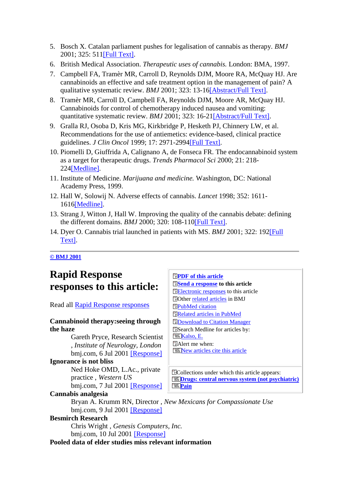- <span id="page-2-0"></span>5. Bosch X. Catalan parliament pushes for legalisation of cannabis as therapy. *BMJ* 2001; 325: 51[1\[Full Text\].](/cgi/ijlink?linkType=FULL&journalCode=bmj&resid=322/7285/511)
- <span id="page-2-1"></span>6. British Medical Association. *Therapeutic uses of cannabis.* London: BMA, 1997.
- <span id="page-2-2"></span>7. Campbell FA, Tramèr MR, Carroll D, Reynolds DJM, Moore RA, McQuay HJ. Are cannabinoids an effective and safe treatment option in the management of pain? A qualitative systematic review. *BMJ* 2001; 323: 13-1[6\[Abstract/Full Text\].](/cgi/ijlink?linkType=ABST&journalCode=bmj&resid=323/7303/13)
- <span id="page-2-3"></span>8. Tramèr MR, Carroll D, Campbell FA, Reynolds DJM, Moore AR, McQuay HJ. Cannabinoids for control of chemotherapy induced nausea and vomiting: quantitative systematic review. *BMJ* 2001; 323: 16-2[1\[Abstract/Full Text\].](/cgi/ijlink?linkType=ABST&journalCode=bmj&resid=323/7303/16)
- <span id="page-2-4"></span>9. Gralla RJ, Osoba D, Kris MG, Kirkbridge P, Hesketh PJ, Chinnery LW, et al. Recommendations for the use of antiemetics: evidence-based, clinical practice guidelines. *J Clin Oncol* 1999; 17: 2971-299[4\[Full Text\].](/cgi/ijlink?linkType=FULL&journalCode=jco&resid=17/9/2971)
- <span id="page-2-5"></span>10. Piomelli D, Giuffrida A, Calignano A, de Fonseca FR. The endocannabinoid system as a target for therapeutic drugs. *Trends Pharmacol Sci* 2000; 21: 218- 22[4\[Medline\].](/cgi/external_ref?access_num=10838609&link_type=MED)
- <span id="page-2-6"></span>11. Institute of Medicine. *Marijuana and medicine.* Washington, DC: National Academy Press, 1999.
- <span id="page-2-7"></span>12. Hall W, Solowij N. Adverse effects of cannabis. *Lancet* 1998; 352: 1611- 161[6\[Medline\].](/cgi/external_ref?access_num=9843121&link_type=MED)
- <span id="page-2-8"></span>13. Strang J, Witton J, Hall W. Improving the quality of the cannabis debate: defining the different domains. *BMJ* 2000; 320: 108-11[0\[Full Text\].](/cgi/ijlink?linkType=FULL&journalCode=bmj&resid=320/7227/108)
- <span id="page-2-9"></span>14. Dyer O. Cannabis trial launched in patients with MS. *BMJ* 2001; 322: 19[2\[Full](/cgi/ijlink?linkType=FULL&journalCode=bmj&resid=322/7280/192)  [Text\].](/cgi/ijlink?linkType=FULL&journalCode=bmj&resid=322/7280/192)

#### **[© BMJ 2001](/misc/terms.shtml)**

## <span id="page-2-10"></span>**Rapid Response responses to this article:**

Read all [Rapid Response responses](/cgi/eletters/323/7303/2)

#### **Cannabinoid therapy:seeing through the haze**

Gareth Pryce, Research Scientist , *Institute of Neurology, London* bmj.com, 6 Jul 2001 [\[Response\]](/cgi/eletters/323/7303/2#EL1)

#### **Ignorance is not bliss**

Ned Hoke OMD, L.Ac., private practice , *Western US* bmj.com, 7 Jul 2001 [\[Response\]](/cgi/eletters/323/7303/2#EL4)

#### **Cannabis analgesia**

**[PDF of this article](/cgi/reprint/323/7303/2) [Send a response](/cgi/eletter-submit/323/7303/2) to this article [Electronic responses](#page-2-10)** to this article Other [related articles](#page-3-0) in BMJ **[PubMed citation](/cgi/external_ref?access_num=11440921&link_type=MED) ED**[Related articles in PubMed](/cgi/external_ref?access_num=11440921&link_type=MED_NBRS) **E[Download to Citation Manager](/cgi/citmgr?gca=bmj;323/7303/2)** Search Medline for articles by: **Kalso**, E. Alert me when: **[New articles cite this article](/cgi/ctmultialert?alertType=citedby&vol=323&iss=7303&fp=2&must_confirm=true)** 

ECollections under which this article appears: **[Drugs: central nervous system \(not psychiatric\)](/cgi/collection/drugs:central_nervous_system) [Pain](/cgi/collection/pain)**

Bryan A. Krumm RN, Director , *New Mexicans for Compassionate Use* bmj.com, 9 Jul 2001 [\[Response\]](/cgi/eletters/323/7303/2#EL6)

#### **Besmirch Research**

Chris Wright , *Genesis Computers, Inc.* bmj.com, 10 Jul 2001 [\[Response\]](/cgi/eletters/323/7303/2#EL7)

**Pooled data of elder studies miss relevant information**